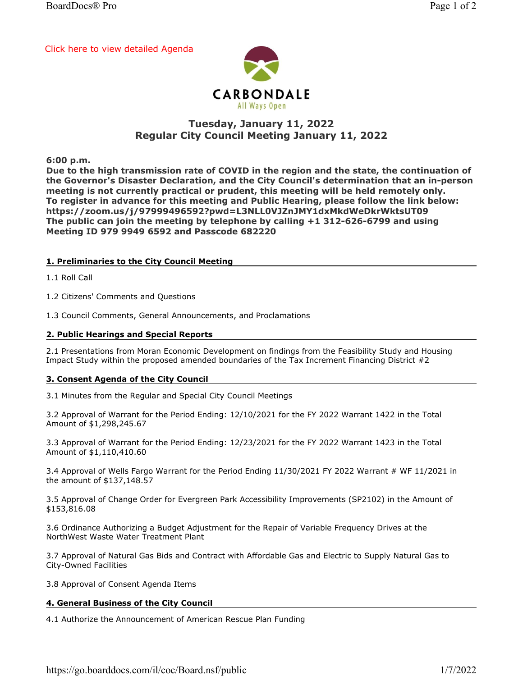[Click here to view detailed Agenda](https://go.boarddocs.com/il/coc/Board.nsf/public#)



# Tuesday, January 11, 2022 Regular City Council Meeting January 11, 2022

6:00 p.m.

Due to the high transmission rate of COVID in the region and the state, the continuation of the Governor's Disaster Declaration, and the City Council's determination that an in-person meeting is not currently practical or prudent, this meeting will be held remotely only. To register in advance for this meeting and Public Hearing, please follow the link below: https://zoom.us/j/97999496592?pwd=L3NLL0VJZnJMY1dxMkdWeDkrWktsUT09 The public can join the meeting by telephone by calling +1 312-626-6799 and using Meeting ID 979 9949 6592 and Passcode 682220

## 1. Preliminaries to the City Council Meeting

1.1 Roll Call

1.2 Citizens' Comments and Questions

1.3 Council Comments, General Announcements, and Proclamations

#### 2. Public Hearings and Special Reports

2.1 Presentations from Moran Economic Development on findings from the Feasibility Study and Housing Impact Study within the proposed amended boundaries of the Tax Increment Financing District #2

## 3. Consent Agenda of the City Council

3.1 Minutes from the Regular and Special City Council Meetings

3.2 Approval of Warrant for the Period Ending: 12/10/2021 for the FY 2022 Warrant 1422 in the Total Amount of \$1,298,245.67

3.3 Approval of Warrant for the Period Ending: 12/23/2021 for the FY 2022 Warrant 1423 in the Total Amount of \$1,110,410.60

3.4 Approval of Wells Fargo Warrant for the Period Ending 11/30/2021 FY 2022 Warrant # WF 11/2021 in the amount of \$137,148.57

3.5 Approval of Change Order for Evergreen Park Accessibility Improvements (SP2102) in the Amount of \$153,816.08

3.6 Ordinance Authorizing a Budget Adjustment for the Repair of Variable Frequency Drives at the NorthWest Waste Water Treatment Plant

3.7 Approval of Natural Gas Bids and Contract with Affordable Gas and Electric to Supply Natural Gas to City-Owned Facilities

3.8 Approval of Consent Agenda Items

## 4. General Business of the City Council

4.1 Authorize the Announcement of American Rescue Plan Funding